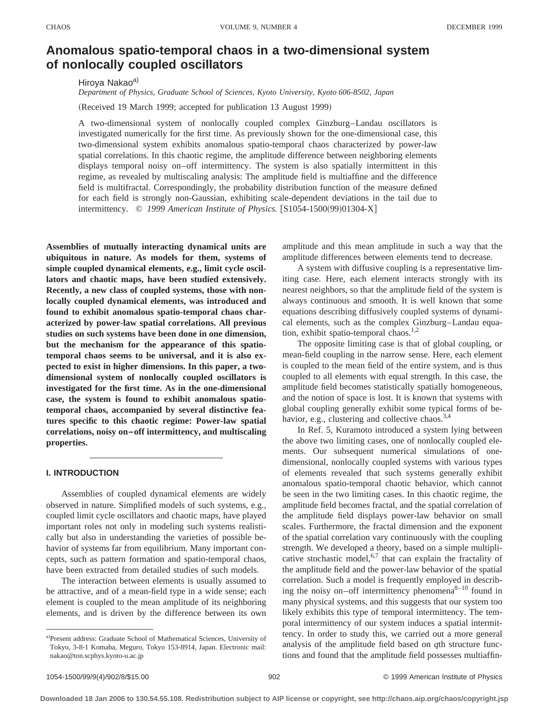# **Anomalous spatio-temporal chaos in a two-dimensional system of nonlocally coupled oscillators**

Hiroya Nakao<sup>a)</sup>

*Department of Physics, Graduate School of Sciences, Kyoto University, Kyoto 606-8502, Japan*

(Received 19 March 1999; accepted for publication 13 August 1999)

A two-dimensional system of nonlocally coupled complex Ginzburg–Landau oscillators is investigated numerically for the first time. As previously shown for the one-dimensional case, this two-dimensional system exhibits anomalous spatio-temporal chaos characterized by power-law spatial correlations. In this chaotic regime, the amplitude difference between neighboring elements displays temporal noisy on–off intermittency. The system is also spatially intermittent in this regime, as revealed by multiscaling analysis: The amplitude field is multiaffine and the difference field is multifractal. Correspondingly, the probability distribution function of the measure defined for each field is strongly non-Gaussian, exhibiting scale-dependent deviations in the tail due to intermittency. © 1999 American Institute of Physics. [S1054-1500(99)01304-X]

**Assemblies of mutually interacting dynamical units are ubiquitous in nature. As models for them, systems of simple coupled dynamical elements, e.g., limit cycle oscillators and chaotic maps, have been studied extensively. Recently, a new class of coupled systems, those with nonlocally coupled dynamical elements, was introduced and found to exhibit anomalous spatio-temporal chaos characterized by power-law spatial correlations. All previous studies on such systems have been done in one dimension, but the mechanism for the appearance of this spatiotemporal chaos seems to be universal, and it is also expected to exist in higher dimensions. In this paper, a twodimensional system of nonlocally coupled oscillators is investigated for the first time. As in the one-dimensional case, the system is found to exhibit anomalous spatiotemporal chaos, accompanied by several distinctive features specific to this chaotic regime: Power-law spatial correlations, noisy on–off intermittency, and multiscaling properties.**

# **I. INTRODUCTION**

Assemblies of coupled dynamical elements are widely observed in nature. Simplified models of such systems, e.g., coupled limit cycle oscillators and chaotic maps, have played important roles not only in modeling such systems realistically but also in understanding the varieties of possible behavior of systems far from equilibrium. Many important concepts, such as pattern formation and spatio-temporal chaos, have been extracted from detailed studies of such models.

The interaction between elements is usually assumed to be attractive, and of a mean-field type in a wide sense; each element is coupled to the mean amplitude of its neighboring elements, and is driven by the difference between its own amplitude and this mean amplitude in such a way that the amplitude differences between elements tend to decrease.

A system with diffusive coupling is a representative limiting case. Here, each element interacts strongly with its nearest neighbors, so that the amplitude field of the system is always continuous and smooth. It is well known that some equations describing diffusively coupled systems of dynamical elements, such as the complex Ginzburg–Landau equation, exhibit spatio-temporal chaos. $1,2$ 

The opposite limiting case is that of global coupling, or mean-field coupling in the narrow sense. Here, each element is coupled to the mean field of the entire system, and is thus coupled to all elements with equal strength. In this case, the amplitude field becomes statistically spatially homogeneous, and the notion of space is lost. It is known that systems with global coupling generally exhibit some typical forms of behavior, e.g., clustering and collective chaos.<sup>3,4</sup>

In Ref. 5, Kuramoto introduced a system lying between the above two limiting cases, one of nonlocally coupled elements. Our subsequent numerical simulations of onedimensional, nonlocally coupled systems with various types of elements revealed that such systems generally exhibit anomalous spatio-temporal chaotic behavior, which cannot be seen in the two limiting cases. In this chaotic regime, the amplitude field becomes fractal, and the spatial correlation of the amplitude field displays power-law behavior on small scales. Furthermore, the fractal dimension and the exponent of the spatial correlation vary continuously with the coupling strength. We developed a theory, based on a simple multiplicative stochastic model, $6,7$  that can explain the fractality of the amplitude field and the power-law behavior of the spatial correlation. Such a model is frequently employed in describing the noisy on–off intermittency phenomena $8-10$  found in many physical systems, and this suggests that our system too likely exhibits this type of temporal intermittency. The temporal intermittency of our system induces a spatial intermittency. In order to study this, we carried out a more general analysis of the amplitude field based on *q*th structure functions and found that the amplitude field possesses multiaffin-

a)Present address: Graduate School of Mathematical Sciences, University of Tokyo, 3-8-1 Komaba, Meguro, Tokyo 153-8914, Japan. Electronic mail: nakao@ton.scphys.kyoto-u.ac.jp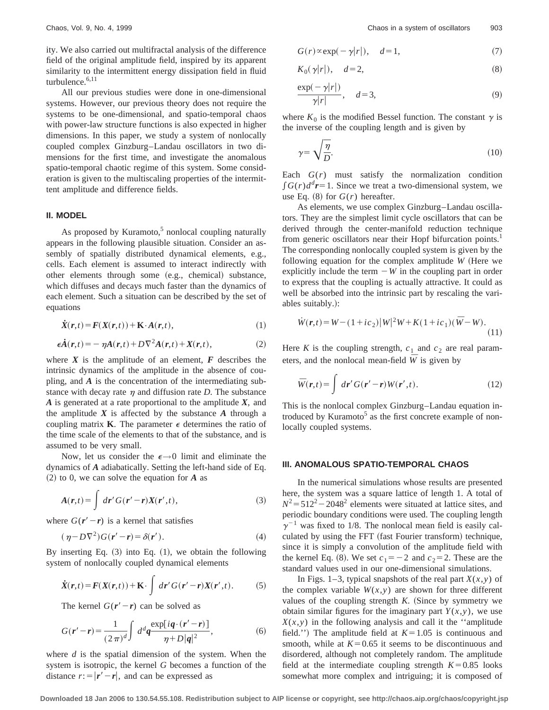ity. We also carried out multifractal analysis of the difference field of the original amplitude field, inspired by its apparent similarity to the intermittent energy dissipation field in fluid turbulence.<sup>6,11</sup>

All our previous studies were done in one-dimensional systems. However, our previous theory does not require the systems to be one-dimensional, and spatio-temporal chaos with power-law structure functions is also expected in higher dimensions. In this paper, we study a system of nonlocally coupled complex Ginzburg–Landau oscillators in two dimensions for the first time, and investigate the anomalous spatio-temporal chaotic regime of this system. Some consideration is given to the multiscaling properties of the intermittent amplitude and difference fields.

#### **II. MODEL**

As proposed by Kuramoto, $5$  nonlocal coupling naturally appears in the following plausible situation. Consider an assembly of spatially distributed dynamical elements, e.g., cells. Each element is assumed to interact indirectly with other elements through some (e.g., chemical) substance, which diffuses and decays much faster than the dynamics of each element. Such a situation can be described by the set of equations

$$
\dot{X}(r,t) = F(X(r,t)) + \mathbf{K} \cdot A(r,t),\tag{1}
$$

$$
\epsilon \dot{A}(\mathbf{r},t) = -\eta A(\mathbf{r},t) + D \nabla^2 A(\mathbf{r},t) + X(\mathbf{r},t), \tag{2}
$$

where  $X$  is the amplitude of an element,  $F$  describes the intrinsic dynamics of the amplitude in the absence of coupling, and *A* is the concentration of the intermediating substance with decay rate  $\eta$  and diffusion rate *D*. The substance *A* is generated at a rate proportional to the amplitude *X*, and the amplitude  $X$  is affected by the substance  $A$  through a coupling matrix **K**. The parameter  $\epsilon$  determines the ratio of the time scale of the elements to that of the substance, and is assumed to be very small.

Now, let us consider the  $\epsilon \rightarrow 0$  limit and eliminate the dynamics of *A* adiabatically. Setting the left-hand side of Eq.  $(2)$  to 0, we can solve the equation for  $\vec{A}$  as

$$
A(r,t) = \int dr' G(r'-r)X(r',t),
$$
\n(3)

where  $G(r'-r)$  is a kernel that satisfies

$$
(\eta - D\nabla^2)G(\mathbf{r}' - \mathbf{r}) = \delta(\mathbf{r}'). \tag{4}
$$

By inserting Eq.  $(3)$  into Eq.  $(1)$ , we obtain the following system of nonlocally coupled dynamical elements

$$
\dot{X}(r,t) = F(X(r,t)) + \mathbf{K} \cdot \int dr' G(r'-r) X(r',t). \tag{5}
$$

The kernel  $G(r'-r)$  can be solved as

$$
G(\mathbf{r}' - \mathbf{r}) = \frac{1}{(2\pi)^d} \int d^d q \frac{\exp[iq \cdot (\mathbf{r}' - \mathbf{r})]}{\eta + D|q|^2},
$$
(6)

where *d* is the spatial dimension of the system. When the system is isotropic, the kernel *G* becomes a function of the distance  $r:=|\mathbf{r}'-\mathbf{r}|$ , and can be expressed as

$$
G(r) \propto \exp(-\gamma |r|), \quad d=1,\tag{7}
$$

$$
K_0(\gamma|r|), \quad d=2,\tag{8}
$$

$$
\frac{\exp(-\gamma|r|)}{\gamma|r|}, \quad d=3,\tag{9}
$$

where  $K_0$  is the modified Bessel function. The constant  $\gamma$  is the inverse of the coupling length and is given by

$$
\gamma = \sqrt{\frac{\eta}{D}}.\tag{10}
$$

Each  $G(r)$  must satisfy the normalization condition  $\int G(r) d^d r = 1$ . Since we treat a two-dimensional system, we use Eq.  $(8)$  for  $G(r)$  hereafter.

As elements, we use complex Ginzburg–Landau oscillators. They are the simplest limit cycle oscillators that can be derived through the center-manifold reduction technique from generic oscillators near their Hopf bifurcation points.<sup>1</sup> The corresponding nonlocally coupled system is given by the following equation for the complex amplitude  $W$  (Here we explicitly include the term  $-W$  in the coupling part in order to express that the coupling is actually attractive. It could as well be absorbed into the intrinsic part by rescaling the variables suitably.):

$$
\dot{W}(\mathbf{r},t) = W - (1 + ic_2)|W|^2 W + K(1 + ic_1)(\bar{W} - W).
$$
\n(11)

Here *K* is the coupling strength,  $c_1$  and  $c_2$  are real parameters, and the nonlocal mean-field  $\overline{W}$  is given by

$$
\overline{W}(\mathbf{r},t) = \int d\mathbf{r}' G(\mathbf{r}'-\mathbf{r}) W(\mathbf{r}',t). \tag{12}
$$

This is the nonlocal complex Ginzburg–Landau equation introduced by Kuramoto<sup>5</sup> as the first concrete example of nonlocally coupled systems.

#### **III. ANOMALOUS SPATIO-TEMPORAL CHAOS**

In the numerical simulations whose results are presented here, the system was a square lattice of length 1. A total of  $N^2$ =512<sup>2</sup> – 2048<sup>2</sup> elements were situated at lattice sites, and periodic boundary conditions were used. The coupling length  $\gamma^{-1}$  was fixed to 1/8. The nonlocal mean field is easily calculated by using the FFT (fast Fourier transform) technique, since it is simply a convolution of the amplitude field with the kernel Eq. (8). We set  $c_1 = -2$  and  $c_2 = 2$ . These are the standard values used in our one-dimensional simulations.

In Figs. 1–3, typical snapshots of the real part  $X(x, y)$  of the complex variable  $W(x, y)$  are shown for three different values of the coupling strength  $K$ . (Since by symmetry we obtain similar figures for the imaginary part  $Y(x, y)$ , we use  $X(x, y)$  in the following analysis and call it the "amplitude" field.'') The amplitude field at  $K=1.05$  is continuous and smooth, while at  $K=0.65$  it seems to be discontinuous and disordered, although not completely random. The amplitude field at the intermediate coupling strength  $K=0.85$  looks somewhat more complex and intriguing; it is composed of

**Downloaded 18 Jan 2006 to 130.54.55.108. Redistribution subject to AIP license or copyright, see http://chaos.aip.org/chaos/copyright.jsp**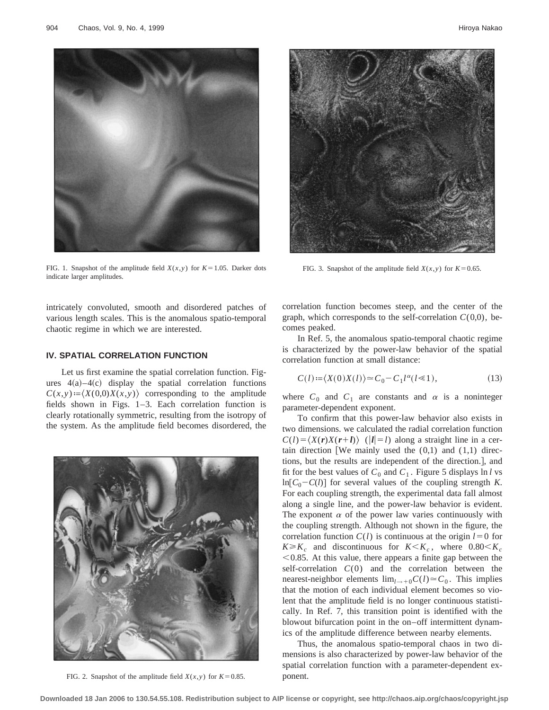



FIG. 1. Snapshot of the amplitude field  $X(x, y)$  for  $K=1.05$ . Darker dots indicate larger amplitudes.

intricately convoluted, smooth and disordered patches of various length scales. This is the anomalous spatio-temporal chaotic regime in which we are interested.

## **IV. SPATIAL CORRELATION FUNCTION**

Let us first examine the spatial correlation function. Figures  $4(a) - 4(c)$  display the spatial correlation functions  $C(x,y) := \langle X(0,0)X(x,y) \rangle$  corresponding to the amplitude fields shown in Figs. 1–3. Each correlation function is clearly rotationally symmetric, resulting from the isotropy of the system. As the amplitude field becomes disordered, the



FIG. 2. Snapshot of the amplitude field  $X(x, y)$  for  $K=0.85$ .



FIG. 3. Snapshot of the amplitude field  $X(x, y)$  for  $K=0.65$ .

correlation function becomes steep, and the center of the graph, which corresponds to the self-correlation *C*(0,0), becomes peaked.

In Ref. 5, the anomalous spatio-temporal chaotic regime is characterized by the power-law behavior of the spatial correlation function at small distance:

$$
C(l) := \langle X(0)X(l) \rangle \simeq C_0 - C_1 l^{\alpha} (l \ll 1), \tag{13}
$$

where  $C_0$  and  $C_1$  are constants and  $\alpha$  is a noninteger parameter-dependent exponent.

To confirm that this power-law behavior also exists in two dimensions. we calculated the radial correlation function  $C(l) = \langle X(r)X(r+l) \rangle$  (|l|=l) along a straight line in a certain direction [We mainly used the  $(0,1)$  and  $(1,1)$  directions, but the results are independent of the direction.], and fit for the best values of  $C_0$  and  $C_1$ . Figure 5 displays ln *l* vs  $\ln [C_0 - C(l)]$  for several values of the coupling strength *K*. For each coupling strength, the experimental data fall almost along a single line, and the power-law behavior is evident. The exponent  $\alpha$  of the power law varies continuously with the coupling strength. Although not shown in the figure, the correlation function  $C(l)$  is continuous at the origin  $l=0$  for  $K \geq K_c$  and discontinuous for  $K \leq K_c$ , where  $0.80 \leq K_c$  $<$  0.85. At this value, there appears a finite gap between the self-correlation *C*(0) and the correlation between the nearest-neighbor elements  $\lim_{l \to +0} C(l) \approx C_0$ . This implies that the motion of each individual element becomes so violent that the amplitude field is no longer continuous statistically. In Ref. 7, this transition point is identified with the blowout bifurcation point in the on–off intermittent dynamics of the amplitude difference between nearby elements.

Thus, the anomalous spatio-temporal chaos in two dimensions is also characterized by power-law behavior of the spatial correlation function with a parameter-dependent exponent.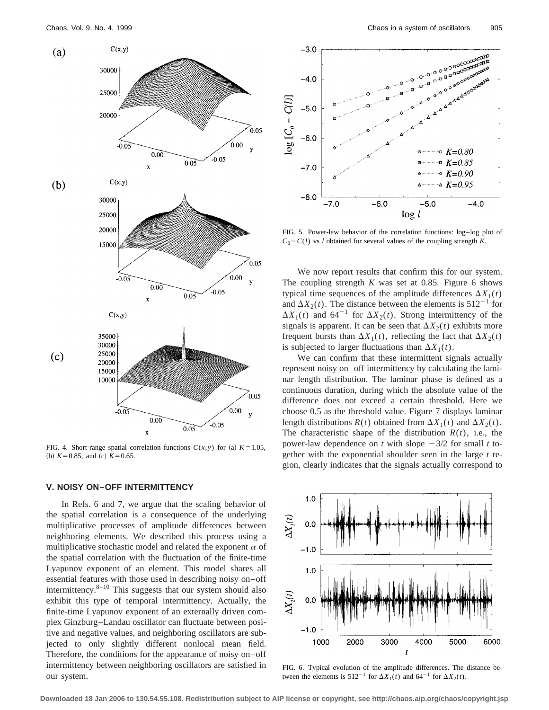

FIG. 4. Short-range spatial correlation functions  $C(x, y)$  for (a)  $K = 1.05$ , (b)  $K=0.85$ , and (c)  $K=0.65$ .

## **V. NOISY ON–OFF INTERMITTENCY**

In Refs. 6 and 7, we argue that the scaling behavior of the spatial correlation is a consequence of the underlying multiplicative processes of amplitude differences between neighboring elements. We described this process using a multiplicative stochastic model and related the exponent  $\alpha$  of the spatial correlation with the fluctuation of the finite-time Lyapunov exponent of an element. This model shares all essential features with those used in describing noisy on–off intermittency. $8-10$  This suggests that our system should also exhibit this type of temporal intermittency. Actually, the finite-time Lyapunov exponent of an externally driven complex Ginzburg–Landau oscillator can fluctuate between positive and negative values, and neighboring oscillators are subjected to only slightly different nonlocal mean field. Therefore, the conditions for the appearance of noisy on–off intermittency between neighboring oscillators are satisfied in our system.



FIG. 5. Power-law behavior of the correlation functions: log–log plot of  $C_0 - C(l)$  vs *l* obtained for several values of the coupling strength *K*.

We now report results that confirm this for our system. The coupling strength *K* was set at 0.85. Figure 6 shows typical time sequences of the amplitude differences  $\Delta X_1(t)$ and  $\Delta X_2(t)$ . The distance between the elements is  $512^{-1}$  for  $\Delta X_1(t)$  and  $64^{-1}$  for  $\Delta X_2(t)$ . Strong intermittency of the signals is apparent. It can be seen that  $\Delta X_2(t)$  exhibits more frequent bursts than  $\Delta X_1(t)$ , reflecting the fact that  $\Delta X_2(t)$ is subjected to larger fluctuations than  $\Delta X_1(t)$ .

We can confirm that these intermittent signals actually represent noisy on–off intermittency by calculating the laminar length distribution. The laminar phase is defined as a continuous duration, during which the absolute value of the difference does not exceed a certain threshold. Here we choose 0.5 as the threshold value. Figure 7 displays laminar length distributions  $R(t)$  obtained from  $\Delta X_1(t)$  and  $\Delta X_2(t)$ . The characteristic shape of the distribution  $R(t)$ , i.e., the power-law dependence on *t* with slope  $-3/2$  for small *t* together with the exponential shoulder seen in the large *t* region, clearly indicates that the signals actually correspond to



FIG. 6. Typical evolution of the amplitude differences. The distance between the elements is  $512^{-1}$  for  $\Delta X_1(t)$  and  $64^{-1}$  for  $\Delta X_2(t)$ .

**Downloaded 18 Jan 2006 to 130.54.55.108. Redistribution subject to AIP license or copyright, see http://chaos.aip.org/chaos/copyright.jsp**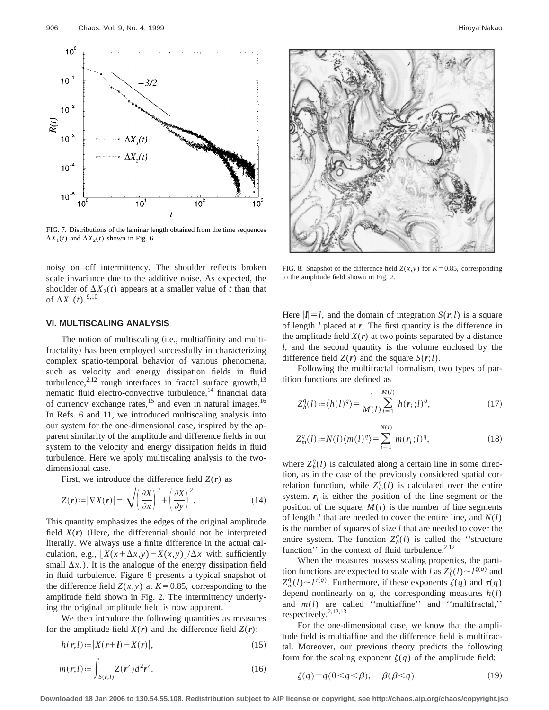

FIG. 7. Distributions of the laminar length obtained from the time sequences  $\Delta X_1(t)$  and  $\Delta X_2(t)$  shown in Fig. 6.

noisy on–off intermittency. The shoulder reflects broken scale invariance due to the additive noise. As expected, the shoulder of  $\Delta X_2(t)$  appears at a smaller value of *t* than that of  $\Delta X_1(t)$ .<sup>9,10</sup>

## **VI. MULTISCALING ANALYSIS**

The notion of multiscaling (i.e., multiaffinity and multifractality) has been employed successfully in characterizing complex spatio-temporal behavior of various phenomena, such as velocity and energy dissipation fields in fluid turbulence,<sup>2,12</sup> rough interfaces in fractal surface growth,<sup>13</sup> nematic fluid electro-convective turbulence, $14$  financial data of currency exchange rates,<sup>15</sup> and even in natural images.<sup>16</sup> In Refs. 6 and 11, we introduced multiscaling analysis into our system for the one-dimensional case, inspired by the apparent similarity of the amplitude and difference fields in our system to the velocity and energy dissipation fields in fluid turbulence. Here we apply multiscaling analysis to the twodimensional case.

First, we introduce the difference field  $Z(r)$  as

$$
Z(r) := |\nabla X(r)| = \sqrt{\left(\frac{\partial X}{\partial x}\right)^2 + \left(\frac{\partial X}{\partial y}\right)^2}.
$$
 (14)

This quantity emphasizes the edges of the original amplitude field  $X(r)$  (Here, the differential should not be interpreted literally. We always use a finite difference in the actual calculation, e.g.,  $[X(x + \Delta x, y) - X(x, y)]/\Delta x$  with sufficiently small  $\Delta x$ .). It is the analogue of the energy dissipation field in fluid turbulence. Figure 8 presents a typical snapshot of the difference field  $Z(x, y)$  at  $K=0.85$ , corresponding to the amplitude field shown in Fig. 2. The intermittency underlying the original amplitude field is now apparent.

We then introduce the following quantities as measures for the amplitude field  $X(r)$  and the difference field  $Z(r)$ :

$$
h(\mathbf{r};l) := |X(\mathbf{r}+l) - X(\mathbf{r})|,\tag{15}
$$

$$
m(\mathbf{r};l) \coloneqq \int_{S(\mathbf{r};l)} Z(\mathbf{r}') d^2 \mathbf{r}'.
$$
 (16)



FIG. 8. Snapshot of the difference field  $Z(x, y)$  for  $K=0.85$ , corresponding to the amplitude field shown in Fig. 2.

Here  $|l|=l$ , and the domain of integration  $S(r;l)$  is a square of length *l* placed at *r*. The first quantity is the difference in the amplitude field  $X(r)$  at two points separated by a distance *l*, and the second quantity is the volume enclosed by the difference field  $Z(r)$  and the square  $S(r;l)$ .

Following the multifractal formalism, two types of partition functions are defined as

$$
Z_h^q(l) := \langle h(l)^q \rangle = \frac{1}{M(l)} \sum_{i=1}^{M(l)} h(r_i; l)^q,
$$
 (17)

$$
Z_m^q(l) := N(l) \langle m(l)^q \rangle = \sum_{i=1}^{N(l)} m(r_i; l)^q,
$$
\n(18)

where  $Z_h^q(l)$  is calculated along a certain line in some direction, as in the case of the previously considered spatial correlation function, while  $Z_m^{\bar{q}}(l)$  is calculated over the entire system.  $r_i$  is either the position of the line segment or the position of the square.  $M(l)$  is the number of line segments of length *l* that are needed to cover the entire line, and *N*(*l*) is the number of squares of size *l* that are needed to cover the entire system. The function  $Z_h^q(l)$  is called the "structure" function'' in the context of fluid turbulence. $2,12$ 

When the measures possess scaling properties, the partition functions are expected to scale with *l* as  $Z_h^q(l) \sim l^{\zeta(q)}$  and  $Z_m^q(l) \sim l^{\tau(q)}$ . Furthermore, if these exponents  $\zeta(q)$  and  $\tau(q)$ depend nonlinearly on  $q$ , the corresponding measures  $h(l)$ and  $m(l)$  are called "multiaffine" and "multifractal," respectively.2,12,13

For the one-dimensional case, we know that the amplitude field is multiaffine and the difference field is multifractal. Moreover, our previous theory predicts the following form for the scaling exponent  $\zeta(q)$  of the amplitude field:

$$
\zeta(q) = q(0 < q < \beta), \quad \beta(\beta < q). \tag{19}
$$

**Downloaded 18 Jan 2006 to 130.54.55.108. Redistribution subject to AIP license or copyright, see http://chaos.aip.org/chaos/copyright.jsp**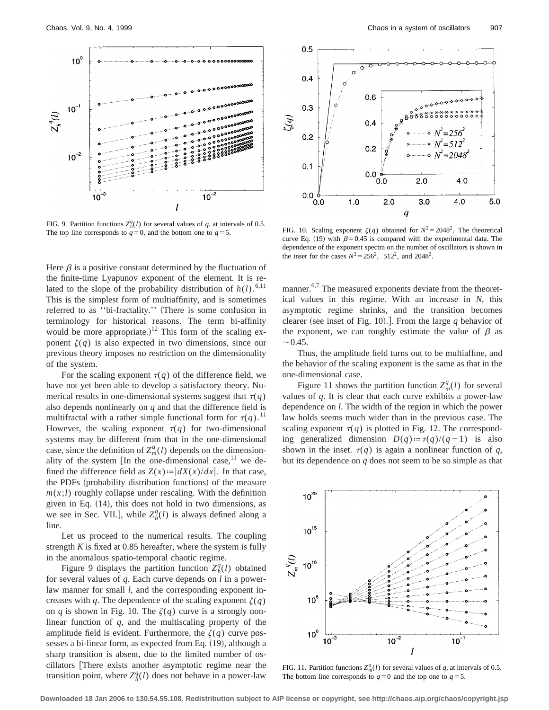

FIG. 9. Partition functions  $Z_h^q(l)$  for several values of q, at intervals of 0.5. The top line corresponds to  $q=0$ , and the bottom one to  $q=5$ . FIG. 10. Scaling exponent  $\zeta(q)$  obtained for  $N^2=2048^2$ . The theoretical

Here  $\beta$  is a positive constant determined by the fluctuation of the finite-time Lyapunov exponent of the element. It is related to the slope of the probability distribution of  $h(l)$ .<sup>6,11</sup> This is the simplest form of multiaffinity, and is sometimes referred to as "bi-fractality." (There is some confusion in terminology for historical reasons. The term bi-affinity would be more appropriate.)<sup>12</sup> This form of the scaling exponent  $\zeta(q)$  is also expected in two dimensions, since our previous theory imposes no restriction on the dimensionality of the system.

For the scaling exponent  $\tau(q)$  of the difference field, we have not yet been able to develop a satisfactory theory. Numerical results in one-dimensional systems suggest that  $\tau(q)$ also depends nonlinearly on *q* and that the difference field is multifractal with a rather simple functional form for  $\tau(q)$ .<sup>11</sup> However, the scaling exponent  $\tau(q)$  for two-dimensional systems may be different from that in the one-dimensional case, since the definition of  $Z_m^q(l)$  depends on the dimensionality of the system [In the one-dimensional case, $^{11}$  we defined the difference field as  $Z(x) := |dX(x)/dx|$ . In that case, the PDFs (probability distribution functions) of the measure  $m(x;l)$  roughly collapse under rescaling. With the definition given in Eq.  $(14)$ , this does not hold in two dimensions, as we see in Sec. VII.], while  $Z_h^q(l)$  is always defined along a line.

Let us proceed to the numerical results. The coupling strength *K* is fixed at 0.85 hereafter, where the system is fully in the anomalous spatio-temporal chaotic regime.

Figure 9 displays the partition function  $Z_h^q(l)$  obtained for several values of *q*. Each curve depends on *l* in a powerlaw manner for small *l*, and the corresponding exponent increases with *q*. The dependence of the scaling exponent  $\zeta(q)$ on *q* is shown in Fig. 10. The  $\zeta(q)$  curve is a strongly nonlinear function of *q*, and the multiscaling property of the amplitude field is evident. Furthermore, the  $\zeta(q)$  curve possesses a bi-linear form, as expected from Eq.  $(19)$ , although a sharp transition is absent, due to the limited number of oscillators [There exists another asymptotic regime near the transition point, where  $Z_h^q(l)$  does not behave in a power-law



curve Eq. (19) with  $\beta$ =0.45 is compared with the experimental data. The dependence of the exponent spectra on the number of oscillators is shown in the inset for the cases  $N^2 = 256^2$ , 512<sup>2</sup>, and 2048<sup>2</sup>.

manner.<sup>6,7</sup> The measured exponents deviate from the theoretical values in this regime. With an increase in *N*, this asymptotic regime shrinks, and the transition becomes clearer (see inset of Fig. 10). From the large  $q$  behavior of the exponent, we can roughly estimate the value of  $\beta$  as  $\sim 0.45.$ 

Thus, the amplitude field turns out to be multiaffine, and the behavior of the scaling exponent is the same as that in the one-dimensional case.

Figure 11 shows the partition function  $Z_m^q(l)$  for several values of *q*. It is clear that each curve exhibits a power-law dependence on *l*. The width of the region in which the power law holds seems much wider than in the previous case. The scaling exponent  $\tau(q)$  is plotted in Fig. 12. The corresponding generalized dimension  $D(q) := \tau(q)/(q-1)$  is also shown in the inset.  $\tau(q)$  is again a nonlinear function of *q*, but its dependence on *q* does not seem to be so simple as that



FIG. 11. Partition functions  $Z_m^q(l)$  for several values of q, at intervals of 0.5. The bottom line corresponds to  $q=0$  and the top one to  $q=5$ .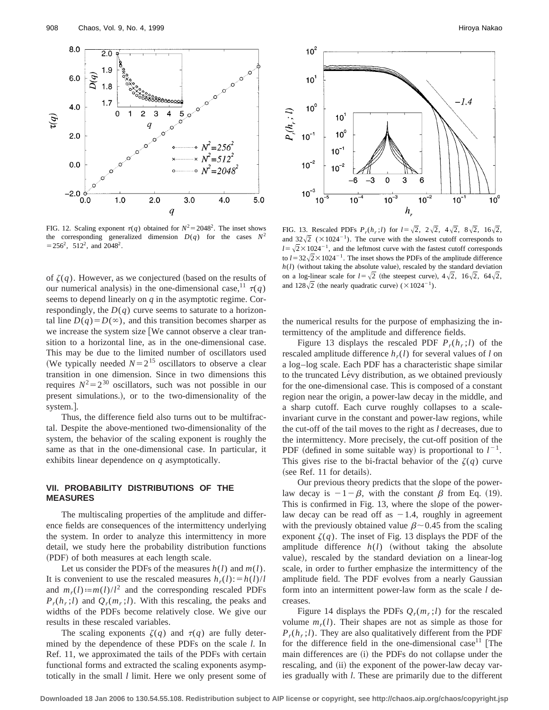

FIG. 12. Scaling exponent  $\tau(q)$  obtained for  $N^2 = 2048^2$ . The inset shows the corresponding generalized dimension  $D(q)$  for the cases  $N^2$  $= 256^2$ , 512<sup>2</sup>, and 2048<sup>2</sup>.

of  $\zeta(q)$ . However, as we conjectured (based on the results of our numerical analysis) in the one-dimensional case,  $\frac{11}{\tau(q)}$ seems to depend linearly on *q* in the asymptotic regime. Correspondingly, the  $D(q)$  curve seems to saturate to a horizontal line  $D(q) = D(\infty)$ , and this transition becomes sharper as we increase the system size [We cannot observe a clear transition to a horizontal line, as in the one-dimensional case. This may be due to the limited number of oscillators used (We typically needed  $N=2^{15}$  oscillators to observe a clear transition in one dimension. Since in two dimensions this requires  $N^2 = 2^{30}$  oscillators, such was not possible in our present simulations.), or to the two-dimensionality of the system.].

Thus, the difference field also turns out to be multifractal. Despite the above-mentioned two-dimensionality of the system, the behavior of the scaling exponent is roughly the same as that in the one-dimensional case. In particular, it exhibits linear dependence on *q* asymptotically.

# **VII. PROBABILITY DISTRIBUTIONS OF THE MEASURES**

The multiscaling properties of the amplitude and difference fields are consequences of the intermittency underlying the system. In order to analyze this intermittency in more detail, we study here the probability distribution functions (PDF) of both measures at each length scale.

Let us consider the PDFs of the measures  $h(l)$  and  $m(l)$ . It is convenient to use the rescaled measures  $h_r(l) := h(l)/l$ and  $m_r(l) := m(l)/l^2$  and the corresponding rescaled PDFs  $P_r(h_r; l)$  and  $Q_r(m_r; l)$ . With this rescaling, the peaks and widths of the PDFs become relatively close. We give our results in these rescaled variables.

The scaling exponents  $\zeta(q)$  and  $\tau(q)$  are fully determined by the dependence of these PDFs on the scale *l*. In Ref. 11, we approximated the tails of the PDFs with certain functional forms and extracted the scaling exponents asymptotically in the small *l* limit. Here we only present some of



FIG. 13. Rescaled PDFs  $P_r(h_r; l)$  for  $l = \sqrt{2}$ ,  $2\sqrt{2}$ ,  $4\sqrt{2}$ ,  $8\sqrt{2}$ ,  $16\sqrt{2}$ , and  $32\sqrt{2}$  ( $\times$ 1024<sup>-1</sup>). The curve with the slowest cutoff corresponds to  $l=\sqrt{2}\times1024^{-1}$ , and the leftmost curve with the fastest cutoff corresponds to  $l = 32\sqrt{2} \times 1024^{-1}$ . The inset shows the PDFs of the amplitude difference  $h(l)$  (without taking the absolute value), rescaled by the standard deviation on a log-linear scale for  $l=\sqrt{2}$  (the steepest curve),  $4\sqrt{2}$ ,  $16\sqrt{2}$ ,  $64\sqrt{2}$ , and  $128\sqrt{2}$  (the nearly quadratic curve)  $(\times 1024^{-1})$ .

the numerical results for the purpose of emphasizing the intermittency of the amplitude and difference fields.

Figure 13 displays the rescaled PDF  $P_r(h_r; l)$  of the rescaled amplitude difference  $h_r(l)$  for several values of *l* on a log–log scale. Each PDF has a characteristic shape similar to the truncated Lévy distribution, as we obtained previously for the one-dimensional case. This is composed of a constant region near the origin, a power-law decay in the middle, and a sharp cutoff. Each curve roughly collapses to a scaleinvariant curve in the constant and power-law regions, while the cut-off of the tail moves to the right as *l* decreases, due to the intermittency. More precisely, the cut-off position of the PDF (defined in some suitable way) is proportional to  $l^{-1}$ . This gives rise to the bi-fractal behavior of the  $\zeta(q)$  curve  $(see Ref. 11 for details).$ 

Our previous theory predicts that the slope of the powerlaw decay is  $-1-\beta$ , with the constant  $\beta$  from Eq. (19). This is confirmed in Fig. 13, where the slope of the powerlaw decay can be read off as  $-1.4$ , roughly in agreement with the previously obtained value  $\beta$  ~ 0.45 from the scaling exponent  $\zeta(q)$ . The inset of Fig. 13 displays the PDF of the amplitude difference  $h(l)$  (without taking the absolute value), rescaled by the standard deviation on a linear-log scale, in order to further emphasize the intermittency of the amplitude field. The PDF evolves from a nearly Gaussian form into an intermittent power-law form as the scale *l* decreases.

Figure 14 displays the PDFs  $Q_r(m_r; l)$  for the rescaled volume  $m_r(l)$ . Their shapes are not as simple as those for  $P_r(h_r; l)$ . They are also qualitatively different from the PDF for the difference field in the one-dimensional case<sup>11</sup> [The main differences are (i) the PDFs do not collapse under the rescaling, and (ii) the exponent of the power-law decay varies gradually with *l*. These are primarily due to the different